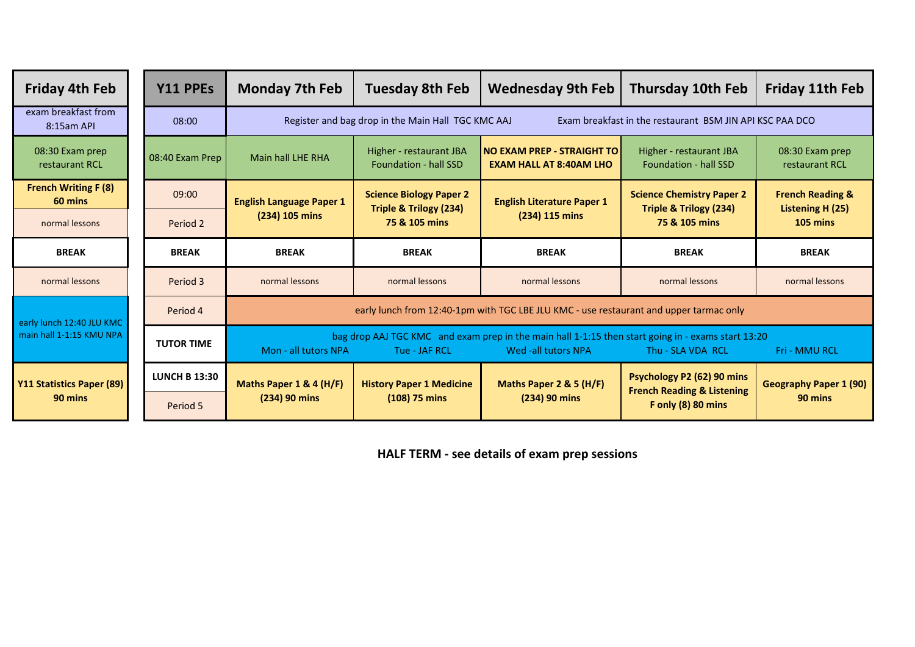| <b>Friday 4th Feb</b>                                 |  | Y11 PPEs             | <b>Monday 7th Feb</b>                                                                                                                                                                                    | <b>Tuesday 8th Feb</b>                                              | <b>Wednesday 9th Feb</b>                                            | <b>Thursday 10th Feb</b>                                                                    | <b>Friday 11th Feb</b>                                      |  |  |  |  |
|-------------------------------------------------------|--|----------------------|----------------------------------------------------------------------------------------------------------------------------------------------------------------------------------------------------------|---------------------------------------------------------------------|---------------------------------------------------------------------|---------------------------------------------------------------------------------------------|-------------------------------------------------------------|--|--|--|--|
| exam breakfast from<br>8:15am API                     |  | 08:00                | Register and bag drop in the Main Hall TGC KMC AAJ<br>Exam breakfast in the restaurant BSM JIN API KSC PAA DCO                                                                                           |                                                                     |                                                                     |                                                                                             |                                                             |  |  |  |  |
| 08:30 Exam prep<br>restaurant RCL                     |  | 08:40 Exam Prep      | <b>Main hall LHE RHA</b>                                                                                                                                                                                 | Higher - restaurant JBA<br><b>Foundation - hall SSD</b>             | <b>NO EXAM PREP - STRAIGHT TO</b><br><b>EXAM HALL AT 8:40AM LHO</b> | Higher - restaurant JBA<br><b>Foundation - hall SSD</b>                                     | 08:30 Exam prep<br>restaurant RCL                           |  |  |  |  |
| <b>French Writing F (8)</b><br>60 mins                |  | 09:00                | <b>English Language Paper 1</b>                                                                                                                                                                          | <b>Science Biology Paper 2</b><br><b>Triple &amp; Trilogy (234)</b> | <b>English Literature Paper 1</b>                                   | <b>Science Chemistry Paper 2</b><br><b>Triple &amp; Trilogy (234)</b><br>75 & 105 mins      | <b>French Reading &amp;</b><br>Listening H (25)<br>105 mins |  |  |  |  |
| normal lessons                                        |  | Period 2             | (234) 105 mins                                                                                                                                                                                           | 75 & 105 mins                                                       | (234) 115 mins                                                      |                                                                                             |                                                             |  |  |  |  |
| <b>BREAK</b>                                          |  | <b>BREAK</b>         | <b>BREAK</b>                                                                                                                                                                                             | <b>BREAK</b>                                                        | <b>BREAK</b>                                                        | <b>BREAK</b>                                                                                | <b>BREAK</b>                                                |  |  |  |  |
| normal lessons                                        |  | Period 3             | normal lessons                                                                                                                                                                                           | normal lessons                                                      | normal lessons                                                      | normal lessons                                                                              | normal lessons                                              |  |  |  |  |
| early lunch 12:40 JLU KMC<br>main hall 1-1:15 KMU NPA |  | Period 4             | early lunch from 12:40-1pm with TGC LBE JLU KMC - use restaurant and upper tarmac only                                                                                                                   |                                                                     |                                                                     |                                                                                             |                                                             |  |  |  |  |
|                                                       |  | <b>TUTOR TIME</b>    | bag drop AAJ TGC KMC and exam prep in the main hall 1-1:15 then start going in - exams start 13:20<br>Mon - all tutors NPA<br>Wed -all tutors NPA<br>Tue - JAF RCL<br>Thu - SLA VDA RCL<br>Fri - MMU RCL |                                                                     |                                                                     |                                                                                             |                                                             |  |  |  |  |
| <b>Y11 Statistics Paper (89)</b><br>90 mins           |  | <b>LUNCH B 13:30</b> | Maths Paper 1 & 4 (H/F)                                                                                                                                                                                  | <b>History Paper 1 Medicine</b><br>$(108)$ 75 mins                  | Maths Paper 2 & 5 (H/F)                                             | Psychology P2 (62) 90 mins<br><b>French Reading &amp; Listening</b><br>F only $(8)$ 80 mins | <b>Geography Paper 1 (90)</b><br>90 mins                    |  |  |  |  |
|                                                       |  | Period 5             | (234) 90 mins                                                                                                                                                                                            |                                                                     | (234) 90 mins                                                       |                                                                                             |                                                             |  |  |  |  |

**HALF TERM - see details of exam prep sessions**